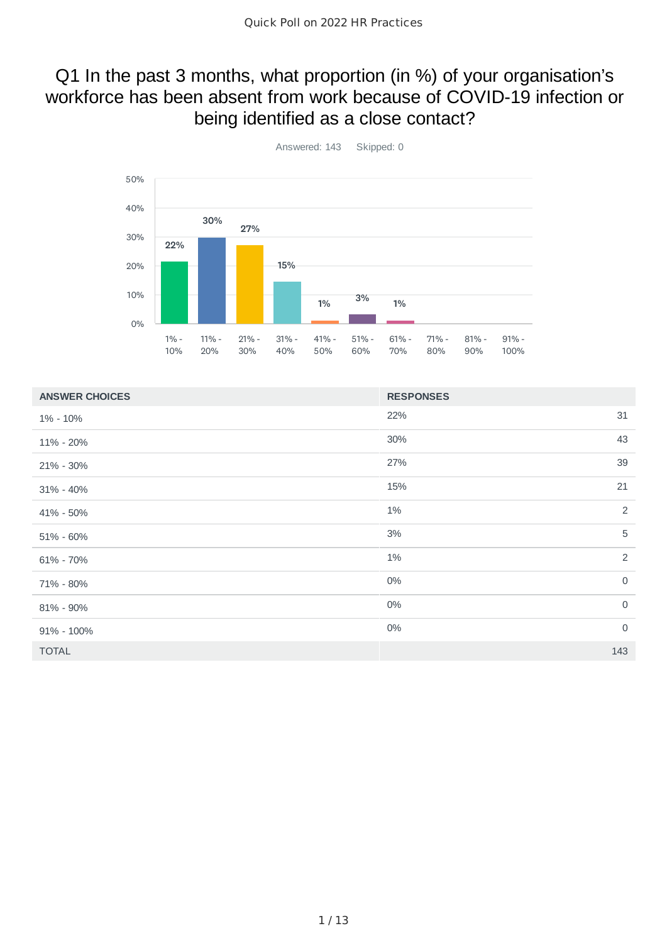#### Q1 In the past 3 months, what proportion (in %) of your organisation's workforce has been absent from work because of COVID-19 infection or being identified as a close contact?



 $22\%$  31 30% 43 27% 39  $15\%$  21  $1\%$  2  $3\%$  5  $1\%$  2  $0\%$  0  $0\%$  0  $0\%$  0 TOTAL 143 **ANSWER CHOICES RESPONSES** 1% - 10% 11% - 20% 21% - 30% 31% - 40% 41% - 50% 51% - 60% 61% - 70% 71% - 80% 81% - 90% 91% - 100%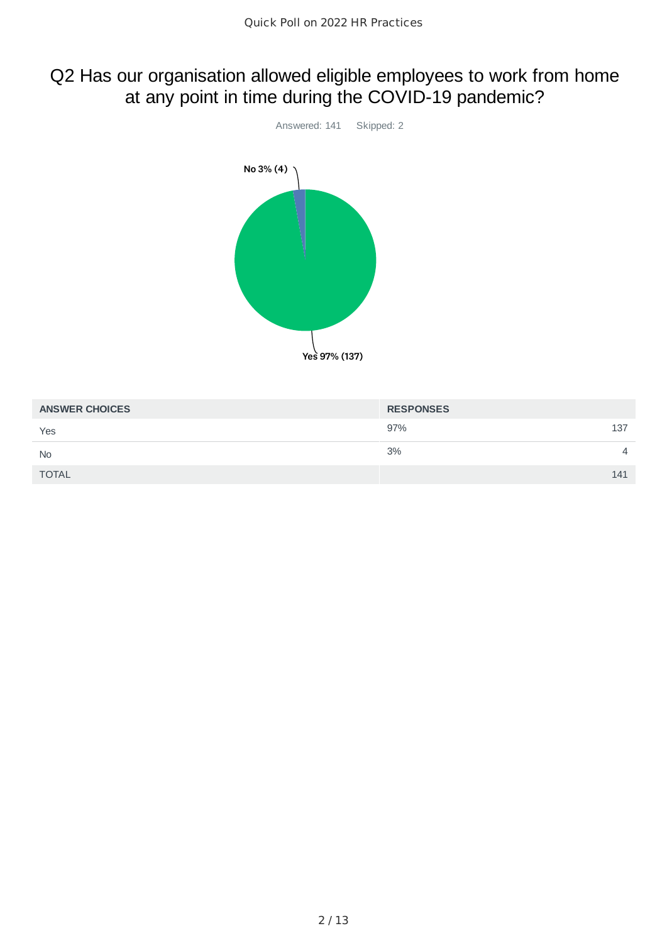# Q2 Has our organisation allowed eligible employees to work from home at any point in time during the COVID-19 pandemic?



| <b>ANSWER CHOICES</b> | <b>RESPONSES</b> |                |
|-----------------------|------------------|----------------|
| Yes                   | 97%<br>137       |                |
| <b>No</b>             | 3%               | $\overline{4}$ |
| <b>TOTAL</b>          | 141              |                |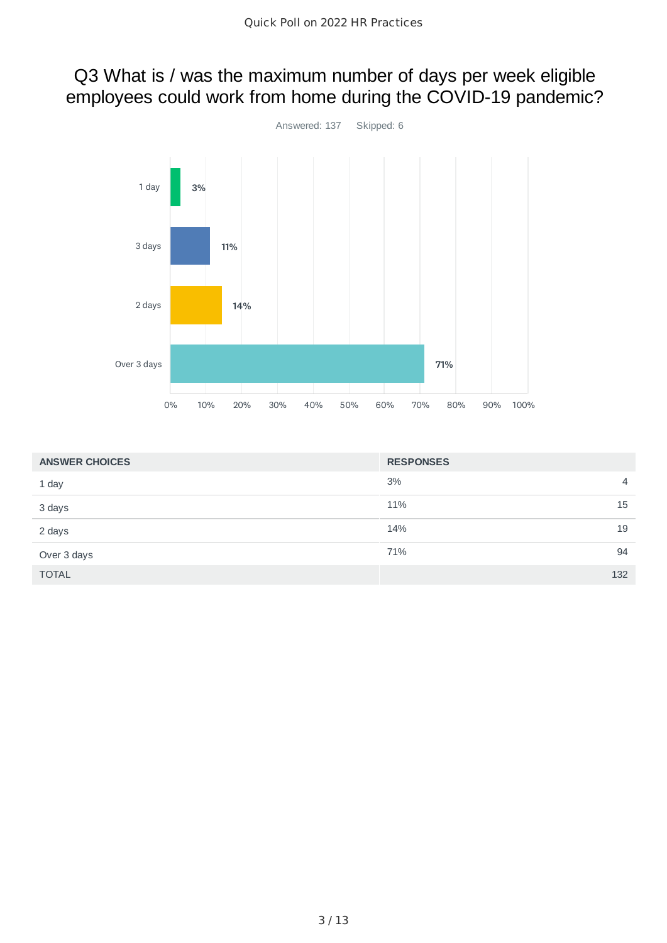# Q3 What is / was the maximum number of days per week eligible employees could work from home during the COVID-19 pandemic?



| <b>ANSWER CHOICES</b> | <b>RESPONSES</b>     |
|-----------------------|----------------------|
| 1 day                 | 3%<br>$\overline{4}$ |
| 3 days                | 15<br>11%            |
| 2 days                | 19<br>14%            |
| Over 3 days           | 94<br>71%            |
| <b>TOTAL</b>          | 132                  |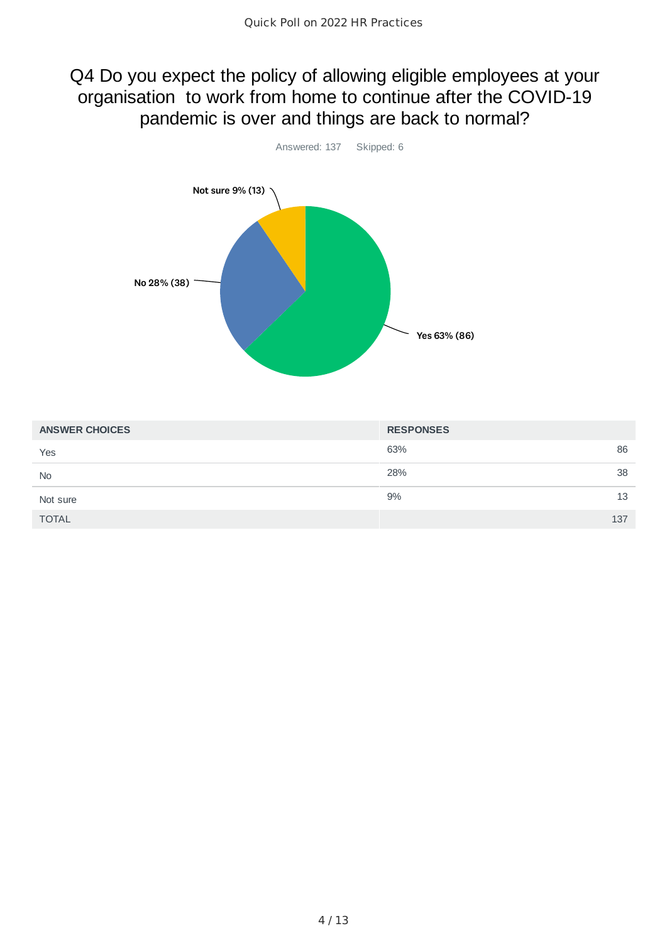#### Q4 Do you expect the policy of allowing eligible employees at your organisation to work from home to continue after the COVID-19 pandemic is over and things are back to normal?



| <b>ANSWER CHOICES</b> | <b>RESPONSES</b> |
|-----------------------|------------------|
| Yes                   | 86<br>63%        |
| <b>No</b>             | 28%<br>38        |
| Not sure              | 9%<br>13         |
| <b>TOTAL</b>          | 137              |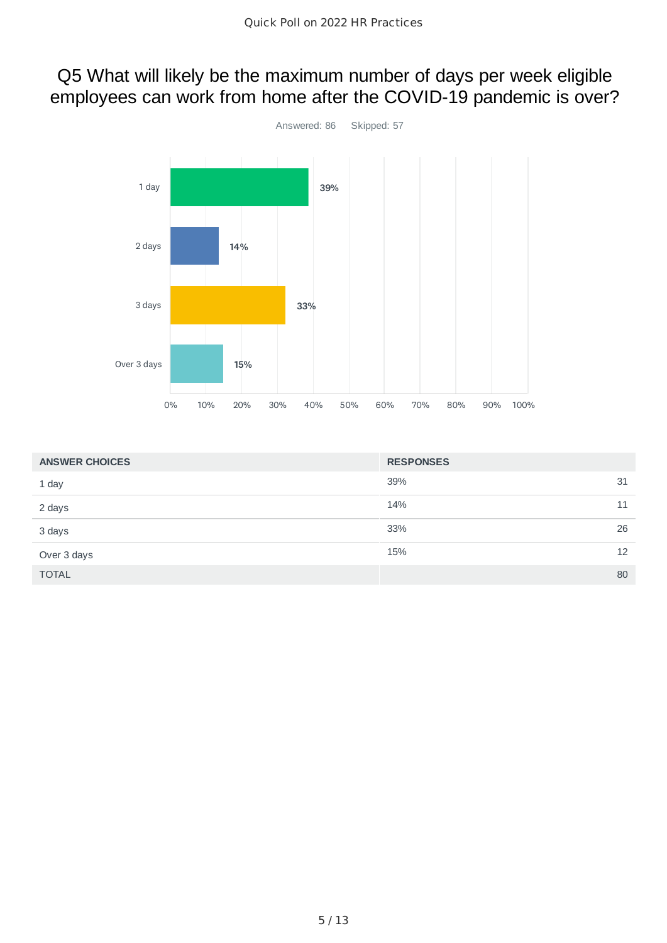# Q5 What will likely be the maximum number of days per week eligible employees can work from home after the COVID-19 pandemic is over?



| <b>ANSWER CHOICES</b> | <b>RESPONSES</b> |    |
|-----------------------|------------------|----|
| 1 day                 | 39%              | 31 |
| 2 days                | 14%              | 11 |
| 3 days                | 33%              | 26 |
| Over 3 days           | 15%              | 12 |
| <b>TOTAL</b>          |                  | 80 |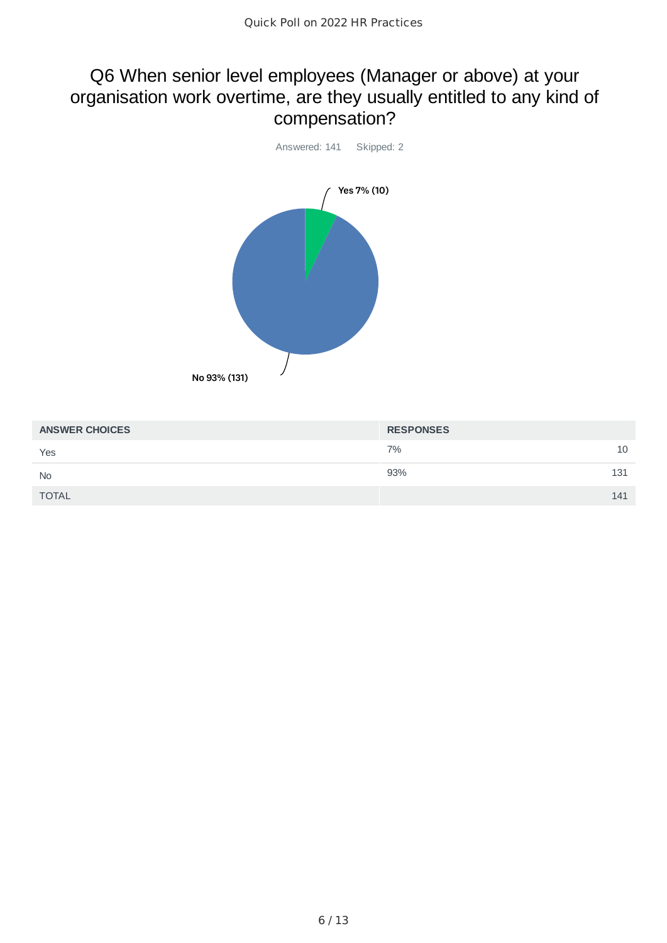#### Q6 When senior level employees (Manager or above) at your organisation work overtime, are they usually entitled to any kind of compensation?



| <b>ANSWER CHOICES</b> | <b>RESPONSES</b> |
|-----------------------|------------------|
| Yes                   | 7%<br>10         |
| <b>No</b>             | 93%<br>131       |
| <b>TOTAL</b>          | 141              |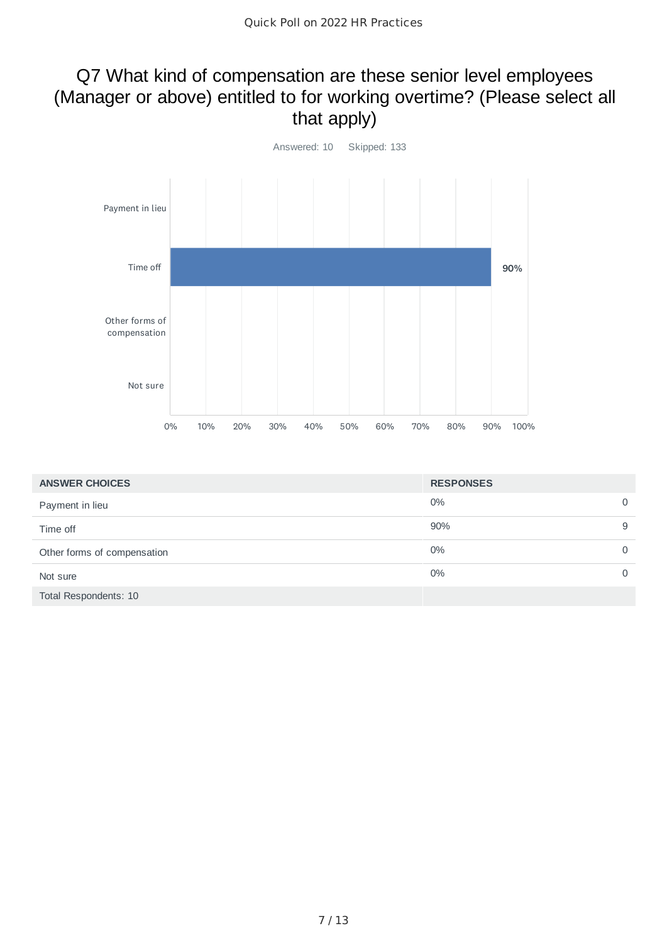# Q7 What kind of compensation are these senior level employees (Manager or above) entitled to for working overtime? (Please select all that apply)



| <b>ANSWER CHOICES</b>       | <b>RESPONSES</b> |              |
|-----------------------------|------------------|--------------|
| Payment in lieu             | 0%               | $\Omega$     |
| Time off                    | 90%              | 9            |
| Other forms of compensation | 0%               | $\mathbf{0}$ |
| Not sure                    | 0%               | $\Omega$     |
| Total Respondents: 10       |                  |              |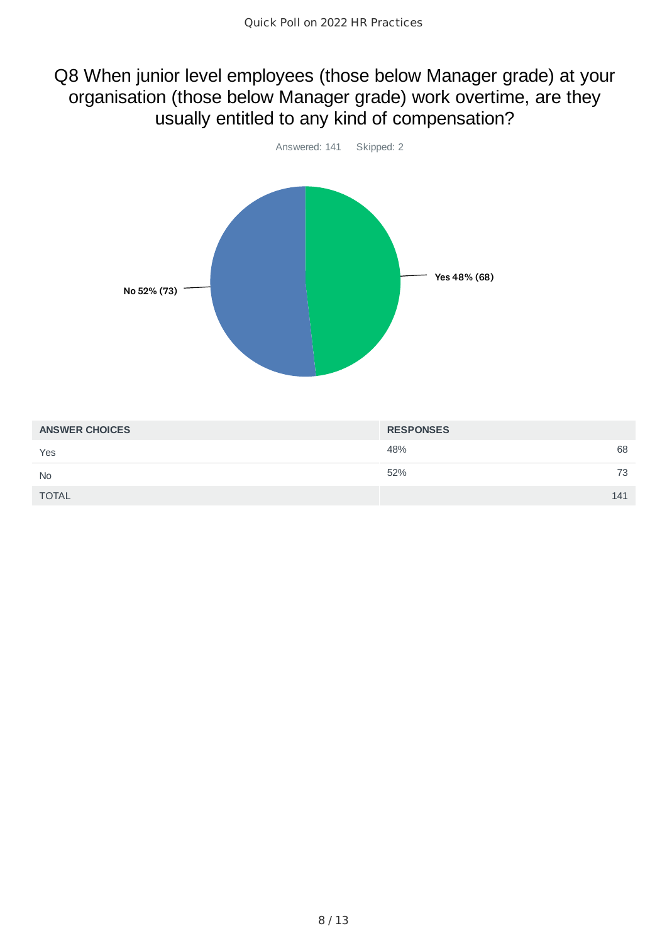#### Q8 When junior level employees (those below Manager grade) at your organisation (those below Manager grade) work overtime, are they usually entitled to any kind of compensation?



| <b>ANSWER CHOICES</b> | <b>RESPONSES</b> |
|-----------------------|------------------|
| Yes                   | 68<br>48%        |
| <b>No</b>             | 52%<br>73        |
| <b>TOTAL</b>          | 141              |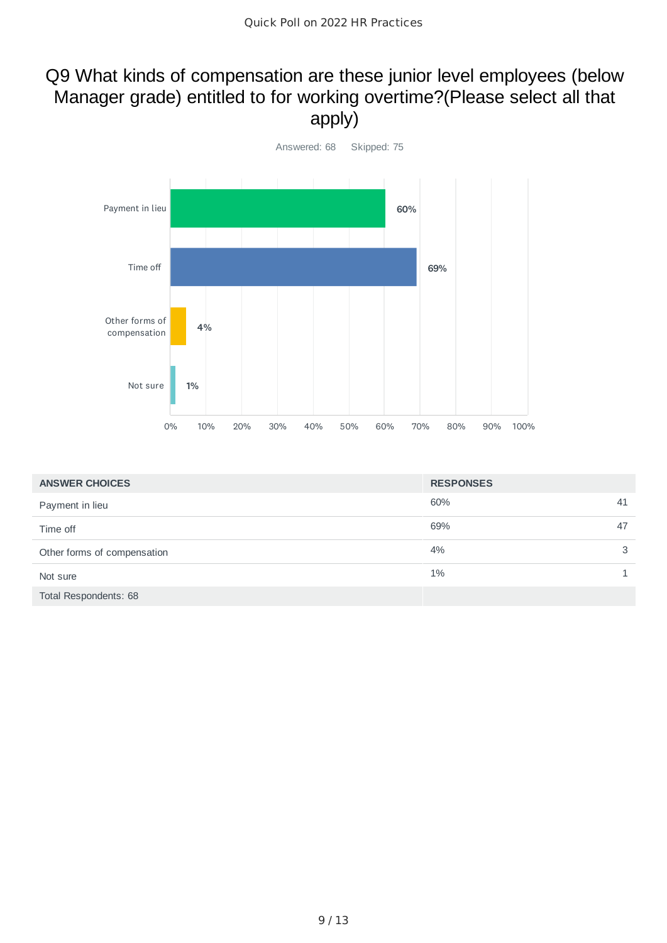# Q9 What kinds of compensation are these junior level employees (below Manager grade) entitled to for working overtime?(Please select all that apply)



| <b>ANSWER CHOICES</b>       | <b>RESPONSES</b> |    |
|-----------------------------|------------------|----|
| Payment in lieu             | 60%              | 41 |
| Time off                    | 69%              | 47 |
| Other forms of compensation | 4%               | 3  |
| Not sure                    | $1\%$            |    |
| Total Respondents: 68       |                  |    |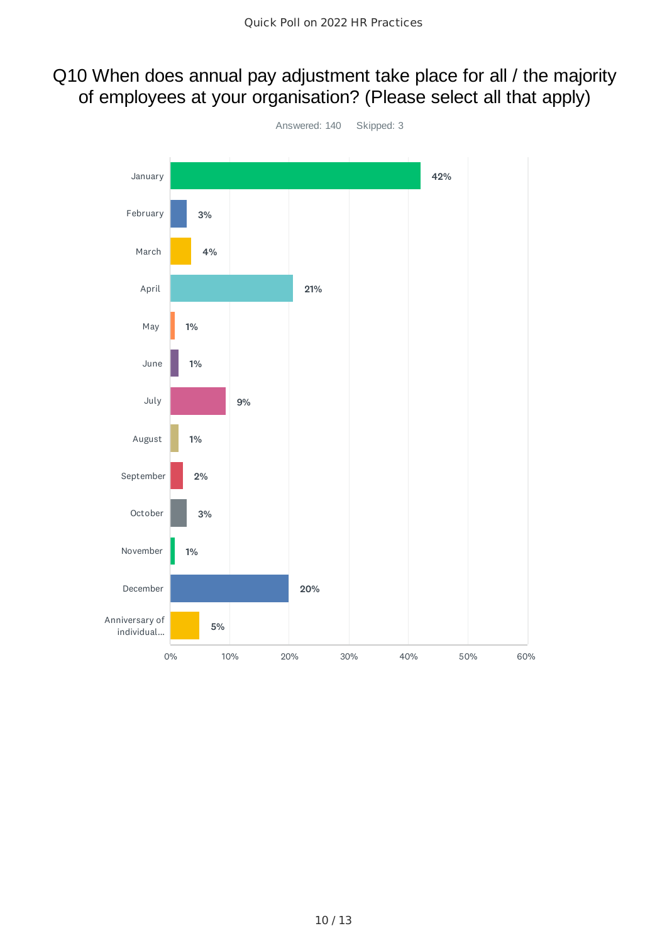# Q10 When does annual pay adjustment take place for all / the majority of employees at your organisation? (Please select all that apply)

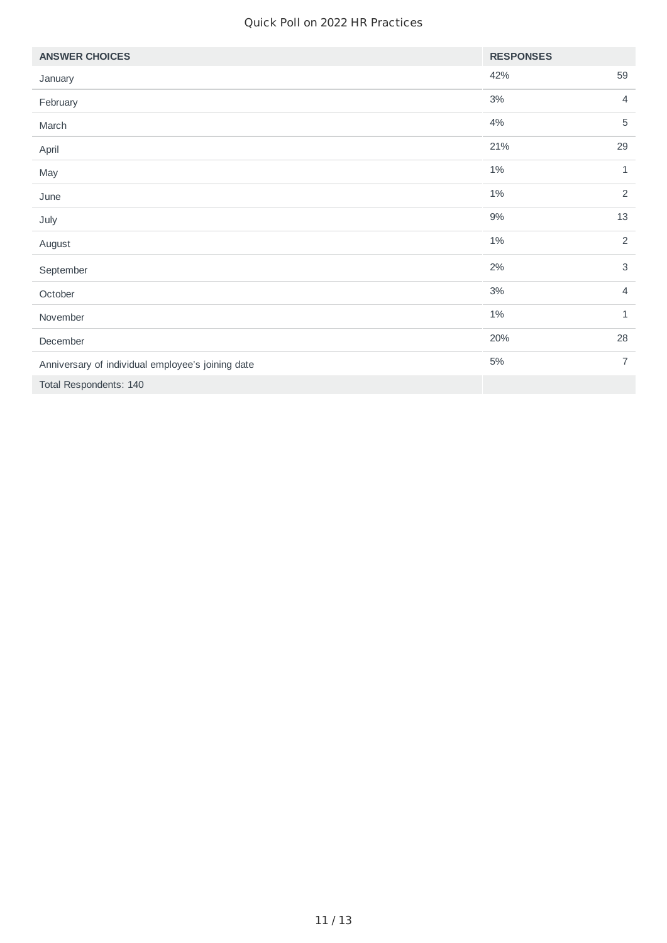| <b>ANSWER CHOICES</b>                             | <b>RESPONSES</b> |                |
|---------------------------------------------------|------------------|----------------|
| January                                           | 42%              | 59             |
| February                                          | $3\%$            | $\overline{4}$ |
| March                                             | 4%               | 5              |
| April                                             | 21%              | 29             |
| May                                               | $1\%$            | $\mathbf 1$    |
| June                                              | $1\%$            | $\overline{2}$ |
| July                                              | $9\%$            | 13             |
| August                                            | $1\%$            | 2              |
| September                                         | 2%               | $\mathsf 3$    |
| October                                           | 3%               | $\overline{4}$ |
| November                                          | $1\%$            | $\mathbf{1}$   |
| December                                          | 20%              | 28             |
| Anniversary of individual employee's joining date | 5%               | $\overline{7}$ |
| Total Respondents: 140                            |                  |                |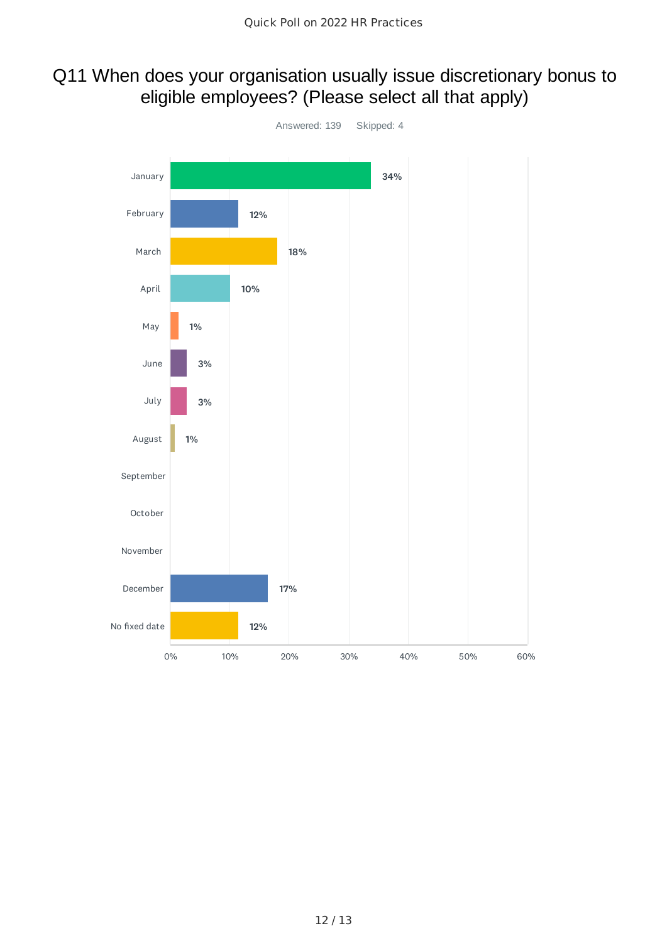# Q11 When does your organisation usually issue discretionary bonus to eligible employees? (Please select all that apply)